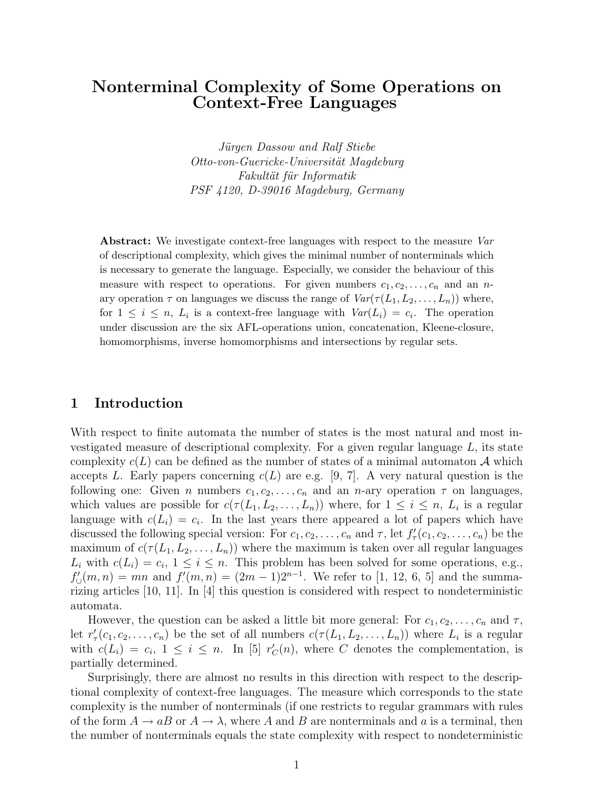# Nonterminal Complexity of Some Operations on Context-Free Languages

Jürgen Dassow and Ralf Stiebe Otto-von-Guericke-Universität Magdeburg Fakultät für Informatik PSF 4120, D-39016 Magdeburg, Germany

Abstract: We investigate context-free languages with respect to the measure Var of descriptional complexity, which gives the minimal number of nonterminals which is necessary to generate the language. Especially, we consider the behaviour of this measure with respect to operations. For given numbers  $c_1, c_2, \ldots, c_n$  and an nary operation  $\tau$  on languages we discuss the range of  $Var(\tau(L_1, L_2, \ldots, L_n))$  where, for  $1 \leq i \leq n$ ,  $L_i$  is a context-free language with  $Var(L_i) = c_i$ . The operation under discussion are the six AFL-operations union, concatenation, Kleene-closure, homomorphisms, inverse homomorphisms and intersections by regular sets.

## 1 Introduction

With respect to finite automata the number of states is the most natural and most investigated measure of descriptional complexity. For a given regular language L, its state complexity  $c(L)$  can be defined as the number of states of a minimal automaton A which accepts L. Early papers concerning  $c(L)$  are e.g. [9, 7]. A very natural question is the following one: Given *n* numbers  $c_1, c_2, \ldots, c_n$  and an *n*-ary operation  $\tau$  on languages, which values are possible for  $c(\tau(L_1, L_2, \ldots, L_n))$  where, for  $1 \leq i \leq n$ ,  $L_i$  is a regular language with  $c(L_i) = c_i$ . In the last years there appeared a lot of papers which have discussed the following special version: For  $c_1, c_2, \ldots, c_n$  and  $\tau$ , let  $f'_{\tau}(c_1, c_2, \ldots, c_n)$  be the maximum of  $c(\tau(L_1, L_2, \ldots, L_n))$  where the maximum is taken over all regular languages  $L_i$  with  $c(L_i) = c_i$ ,  $1 \leq i \leq n$ . This problem has been solved for some operations, e.g.,  $f'_{\cup}(m,n) = mn$  and  $f'(m,n) = (2m-1)2^{n-1}$ . We refer to [1, 12, 6, 5] and the summarizing articles [10, 11]. In [4] this question is considered with respect to nondeterministic automata.

However, the question can be asked a little bit more general: For  $c_1, c_2, \ldots, c_n$  and  $\tau$ , let  $r'_{\tau}(c_1, c_2, \ldots, c_n)$  be the set of all numbers  $c(\tau(L_1, L_2, \ldots, L_n))$  where  $L_i$  is a regular with  $c(L_i) = c_i, 1 \leq i \leq n$ . In [5]  $r'_C(n)$ , where C denotes the complementation, is partially determined.

Surprisingly, there are almost no results in this direction with respect to the descriptional complexity of context-free languages. The measure which corresponds to the state complexity is the number of nonterminals (if one restricts to regular grammars with rules of the form  $A \to aB$  or  $A \to \lambda$ , where A and B are nonterminals and a is a terminal, then the number of nonterminals equals the state complexity with respect to nondeterministic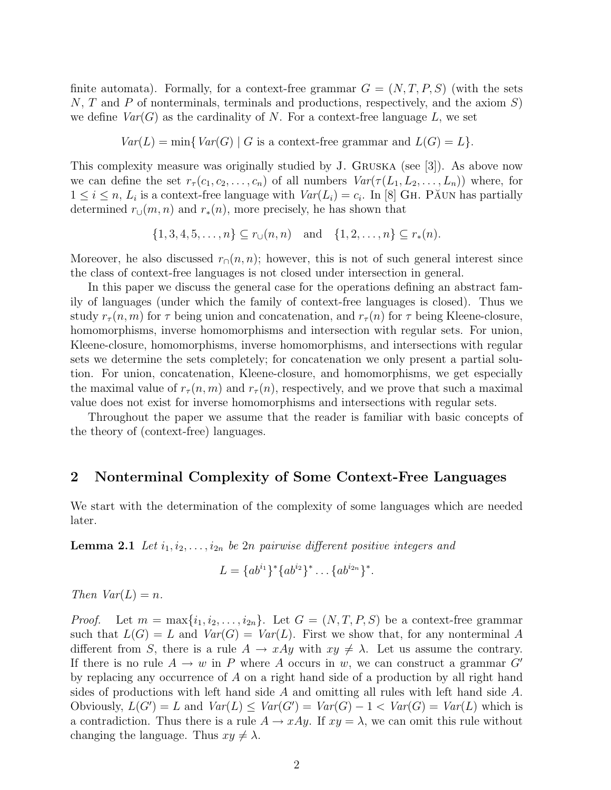finite automata). Formally, for a context-free grammar  $G = (N, T, P, S)$  (with the sets N, T and P of nonterminals, terminals and productions, respectively, and the axiom  $S$ ) we define  $Var(G)$  as the cardinality of N. For a context-free language L, we set

 $Var(L) = min\{Var(G) | G$  is a context-free grammar and  $L(G) = L\}.$ 

This complexity measure was originally studied by J. Gruska (see [3]). As above now we can define the set  $r_{\tau}(c_1, c_2, \ldots, c_n)$  of all numbers  $Var(\tau(L_1, L_2, \ldots, L_n))$  where, for  $1 \leq i \leq n$ ,  $L_i$  is a context-free language with  $Var(L_i) = c_i$ . In [8] GH. PAUN has partially determined  $r_{\cup}(m, n)$  and  $r_*(n)$ , more precisely, he has shown that

$$
\{1, 3, 4, 5, \dots, n\} \subseteq r_{\cup}(n, n) \text{ and } \{1, 2, \dots, n\} \subseteq r_{*}(n).
$$

Moreover, he also discussed  $r_0(n, n)$ ; however, this is not of such general interest since the class of context-free languages is not closed under intersection in general.

In this paper we discuss the general case for the operations defining an abstract family of languages (under which the family of context-free languages is closed). Thus we study  $r_{\tau}(n, m)$  for  $\tau$  being union and concatenation, and  $r_{\tau}(n)$  for  $\tau$  being Kleene-closure, homomorphisms, inverse homomorphisms and intersection with regular sets. For union, Kleene-closure, homomorphisms, inverse homomorphisms, and intersections with regular sets we determine the sets completely; for concatenation we only present a partial solution. For union, concatenation, Kleene-closure, and homomorphisms, we get especially the maximal value of  $r_{\tau}(n,m)$  and  $r_{\tau}(n)$ , respectively, and we prove that such a maximal value does not exist for inverse homomorphisms and intersections with regular sets.

Throughout the paper we assume that the reader is familiar with basic concepts of the theory of (context-free) languages.

## 2 Nonterminal Complexity of Some Context-Free Languages

We start with the determination of the complexity of some languages which are needed later.

**Lemma 2.1** Let  $i_1, i_2, \ldots, i_{2n}$  be 2n pairwise different positive integers and

$$
L = \{ab^{i_1}\}^* \{ab^{i_2}\}^* \dots \{ab^{i_{2n}}\}^*.
$$

Then  $Var(L) = n$ .

*Proof.* Let  $m = \max\{i_1, i_2, \ldots, i_{2n}\}\.$  Let  $G = (N, T, P, S)$  be a context-free grammar such that  $L(G) = L$  and  $Var(G) = Var(L)$ . First we show that, for any nonterminal A different from S, there is a rule  $A \to xAy$  with  $xy \neq \lambda$ . Let us assume the contrary. If there is no rule  $A \to w$  in P where A occurs in w, we can construct a grammar G' by replacing any occurrence of A on a right hand side of a production by all right hand sides of productions with left hand side  $A$  and omitting all rules with left hand side  $A$ . Obviously,  $L(G') = L$  and  $Var(L) \leq Var(G') = Var(G) - 1 < Var(G) = Var(L)$  which is a contradiction. Thus there is a rule  $A \to xAy$ . If  $xy = \lambda$ , we can omit this rule without changing the language. Thus  $xy \neq \lambda$ .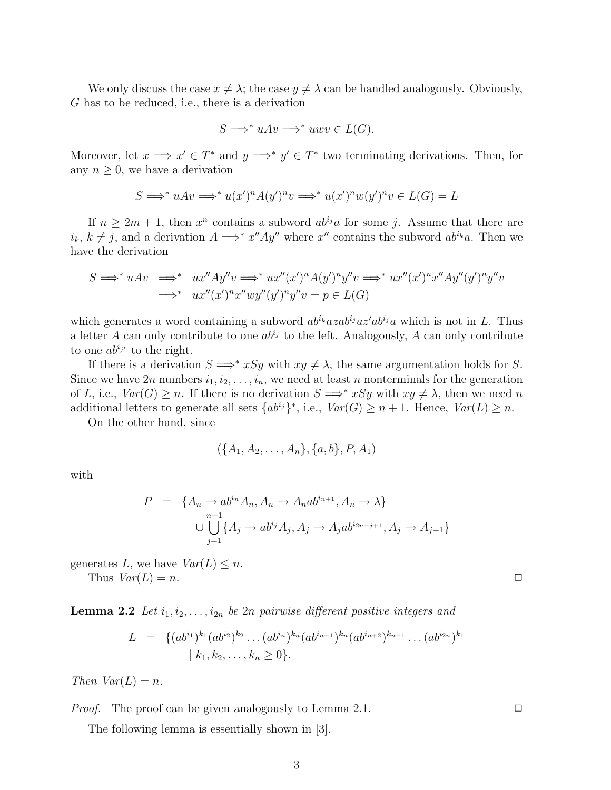We only discuss the case  $x \neq \lambda$ ; the case  $y \neq \lambda$  can be handled analogously. Obviously, G has to be reduced, i.e., there is a derivation

$$
S \Longrightarrow^* uAv \Longrightarrow^* u w v \in L(G).
$$

Moreover, let  $x \implies x' \in T^*$  and  $y \implies^* y' \in T^*$  two terminating derivations. Then, for any  $n \geq 0$ , we have a derivation

$$
S \Longrightarrow^* uAv \Longrightarrow^* u(x')^n A(y')^n v \Longrightarrow^* u(x')^n w(y')^n v \in L(G) = L
$$

If  $n \geq 2m+1$ , then  $x^n$  contains a subword  $ab^{i_j}a$  for some j. Assume that there are  $i_k, k \neq j$ , and a derivation  $A \Longrightarrow^* x''Ay''$  where  $x''$  contains the subword  $ab^{i_k}a$ . Then we have the derivation

$$
S \Longrightarrow^* uAv \Longrightarrow^* u x''Ay''v \Longrightarrow^* u x''(x')^n A(y')^n y''v \Longrightarrow^* u x''(x')^n x''Ay''(y')^n y''v
$$
  

$$
\Longrightarrow^* u x''(x')^n x''wy''(y')^n y''v = p \in L(G)
$$

which generates a word containing a subword  $ab^{i_k}$  azab<sup>ij</sup>az' abija which is not in L. Thus a letter A can only contribute to one  $ab^{i_j}$  to the left. Analogously, A can only contribute to one  $ab^{i_{j'}}$  to the right.

If there is a derivation  $S \implies xSy$  with  $xy \neq \lambda$ , the same argumentation holds for S. Since we have  $2n$  numbers  $i_1, i_2, \ldots, i_n$ , we need at least n nonterminals for the generation of L, i.e.,  $Var(G) \ge n$ . If there is no derivation  $S \implies xSy$  with  $xy \neq \lambda$ , then we need n additional letters to generate all sets  $\{ab^{ij}\}^*$ , i.e.,  $Var(G) \geq n+1$ . Hence,  $Var(L) \geq n$ .

On the other hand, since

$$
(\{A_1, A_2, \ldots, A_n\}, \{a, b\}, P, A_1)
$$

with

$$
P = \{A_n \to ab^{i_n} A_n, A_n \to A_n ab^{i_{n+1}}, A_n \to \lambda\}
$$
  

$$
\cup \bigcup_{j=1}^{n-1} \{A_j \to ab^{i_j} A_j, A_j \to A_j ab^{i_{2n-j+1}}, A_j \to A_{j+1}\}
$$

generates L, we have  $Var(L) \leq n$ .

Thus  $Var(L) = n$ .

**Lemma 2.2** Let  $i_1, i_2, \ldots, i_{2n}$  be 2n pairwise different positive integers and

$$
L = \{(ab^{i_1})^{k_1}(ab^{i_2})^{k_2}\dots(ab^{i_n})^{k_n}(ab^{i_{n+1}})^{k_n}(ab^{i_{n+2}})^{k_{n-1}}\dots(ab^{i_{2n}})^{k_1} \mid k_1, k_2, \dots, k_n \ge 0\}.
$$

Then  $Var(L) = n$ .

*Proof.* The proof can be given analogously to Lemma 2.1.  $\Box$ 

The following lemma is essentially shown in [3].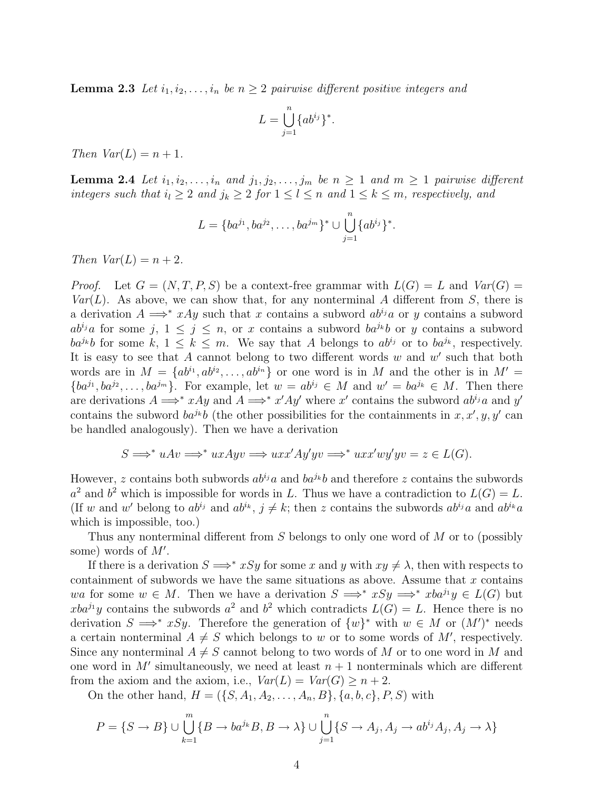**Lemma 2.3** Let  $i_1, i_2, \ldots, i_n$  be  $n \geq 2$  pairwise different positive integers and

$$
L = \bigcup_{j=1}^{n} \{ab^{i_j}\}^*.
$$

Then  $Var(L) = n + 1$ .

**Lemma 2.4** Let  $i_1, i_2, \ldots, i_n$  and  $j_1, j_2, \ldots, j_m$  be  $n \geq 1$  and  $m \geq 1$  pairwise different integers such that  $i_l \geq 2$  and  $j_k \geq 2$  for  $1 \leq l \leq n$  and  $1 \leq k \leq m$ , respectively, and

$$
L = \{ba^{j_1}, ba^{j_2}, \dots, ba^{j_m}\}^* \cup \bigcup_{j=1}^n \{ab^{i_j}\}^*.
$$

Then  $Var(L) = n + 2$ .

*Proof.* Let  $G = (N, T, P, S)$  be a context-free grammar with  $L(G) = L$  and  $Var(G) =$  $Var(L)$ . As above, we can show that, for any nonterminal A different from S, there is a derivation  $A \Longrightarrow^* xAy$  such that x contains a subword  $ab^{ija}$  or y contains a subword  $ab^{i_j}a$  for some j,  $1 \leq j \leq n$ , or x contains a subword  $ba^{j_k}b$  or y contains a subword  $ba^{j_k}b$  for some k,  $1 \leq k \leq m$ . We say that A belongs to  $ab^{i_j}$  or to  $ba^{j_k}$ , respectively. It is easy to see that A cannot belong to two different words  $w$  and  $w'$  such that both words are in  $M = \{ab^{i_1}, ab^{i_2}, \ldots, ab^{i_n}\}\$  or one word is in M and the other is in  $M' =$  ${ba^{j_1}, ba^{j_2}, \ldots, ba^{j_m}}$ . For example, let  $w = ab^{i_j} \in M$  and  $w' = ba^{j_k} \in M$ . Then there are derivations  $A \Longrightarrow^* xAy$  and  $A \Longrightarrow^* x'Ay'$  where x' contains the subword  $ab^{i_j}a$  and y' contains the subword  $ba^{j_k}b$  (the other possibilities for the containments in  $x, x', y, y'$  can be handled analogously). Then we have a derivation

$$
S \Longrightarrow^* uAv \Longrightarrow^* uxAyv \Longrightarrow uxx'Ay'yv \Longrightarrow^* uxx'wy'yv = z \in L(G).
$$

However, z contains both subwords  $ab^{i_j}a$  and  $ba^{j_k}b$  and therefore z contains the subwords  $a^2$  and  $b^2$  which is impossible for words in L. Thus we have a contradiction to  $L(G) = L$ . (If w and w' belong to  $ab^{i_j}$  and  $ab^{i_k}$ ,  $j \neq k$ ; then z contains the subwords  $ab^{i_j}a$  and  $ab^{i_k}a$ which is impossible, too.)

Thus any nonterminal different from S belongs to only one word of M or to (possibly some) words of  $M'$ .

If there is a derivation  $S \implies^* xSy$  for some x and y with  $xy \neq \lambda$ , then with respects to containment of subwords we have the same situations as above. Assume that  $x$  contains wa for some  $w \in M$ . Then we have a derivation  $S \implies^* xSy \implies^* xba^{j_1}y \in L(G)$  but  $xba^{j_1}y$  contains the subwords  $a^2$  and  $b^2$  which contradicts  $L(G) = L$ . Hence there is no derivation  $S \implies xSy$ . Therefore the generation of  $\{w\}^*$  with  $w \in M$  or  $(M')^*$  needs a certain nonterminal  $A \neq S$  which belongs to w or to some words of M', respectively. Since any nonterminal  $A \neq S$  cannot belong to two words of M or to one word in M and one word in M' simultaneously, we need at least  $n + 1$  nonterminals which are different from the axiom and the axiom, i.e.,  $Var(L) = Var(G) \ge n + 2$ .

On the other hand,  $H = (\{S, A_1, A_2, \ldots, A_n, B\}, \{a, b, c\}, P, S)$  with

$$
P = \{S \to B\} \cup \bigcup_{k=1}^{m} \{B \to ba^{j_k}B, B \to \lambda\} \cup \bigcup_{j=1}^{n} \{S \to A_j, A_j \to ab^{i_j}A_j, A_j \to \lambda\}
$$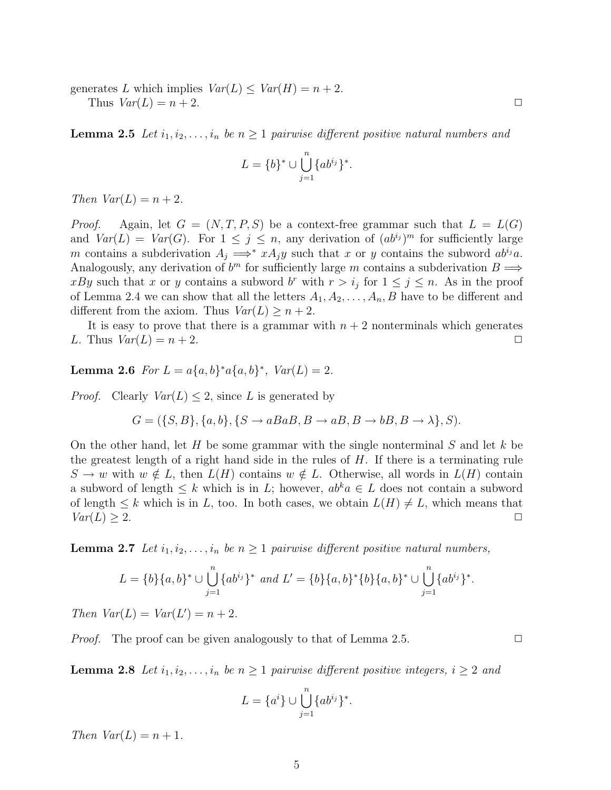generates L which implies  $Var(L) \leq Var(H) = n + 2$ .

Thus  $Var(L) = n + 2$ .

**Lemma 2.5** Let  $i_1, i_2, \ldots, i_n$  be  $n \geq 1$  pairwise different positive natural numbers and

$$
L = \{b\}^* \cup \bigcup_{j=1}^n \{ab^{i_j}\}^*.
$$

Then  $Var(L) = n + 2$ .

*Proof.* Again, let  $G = (N, T, P, S)$  be a context-free grammar such that  $L = L(G)$ and  $Var(L) = Var(G)$ . For  $1 \leq j \leq n$ , any derivation of  $(ab^{i_j})^m$  for sufficiently large m contains a subderivation  $A_i \implies^* x A_i y$  such that x or y contains the subword  $ab^{i_j}a$ . Analogously, any derivation of  $b^m$  for sufficiently large m contains a subderivation  $B \Longrightarrow$ xBy such that x or y contains a subword b<sup>r</sup> with  $r > i_j$  for  $1 \leq j \leq n$ . As in the proof of Lemma 2.4 we can show that all the letters  $A_1, A_2, \ldots, A_n, B$  have to be different and different from the axiom. Thus  $Var(L) \geq n+2$ .

It is easy to prove that there is a grammar with  $n + 2$  nonterminals which generates L. Thus  $Var(L) = n + 2$ .

Lemma 2.6 For  $L = a\{a, b\}^* a\{a, b\}^*$ ,  $Var(L) = 2$ .

*Proof.* Clearly  $Var(L) \leq 2$ , since L is generated by

$$
G = (\{S, B\}, \{a, b\}, \{S \rightarrow aBaB, B \rightarrow aB, B \rightarrow bB, B \rightarrow \lambda\}, S).
$$

On the other hand, let H be some grammar with the single nonterminal  $S$  and let k be the greatest length of a right hand side in the rules of  $H$ . If there is a terminating rule  $S \to w$  with  $w \notin L$ , then  $L(H)$  contains  $w \notin L$ . Otherwise, all words in  $L(H)$  contain a subword of length  $\leq k$  which is in L; however,  $ab^k a \in L$  does not contain a subword of length  $\leq k$  which is in L, too. In both cases, we obtain  $L(H) \neq L$ , which means that  $Var(L) > 2.$ 

**Lemma 2.7** Let  $i_1, i_2, \ldots, i_n$  be  $n \geq 1$  pairwise different positive natural numbers,

$$
L = \{b\}\{a,b\}^* \cup \bigcup_{j=1}^n \{ab^{i_j}\}^* \text{ and } L' = \{b\}\{a,b\}^*\{b\}\{a,b\}^* \cup \bigcup_{j=1}^n \{ab^{i_j}\}^*.
$$

Then  $Var(L) = Var(L') = n + 2$ .

*Proof.* The proof can be given analogously to that of Lemma 2.5.  $\Box$ 

**Lemma 2.8** Let  $i_1, i_2, \ldots, i_n$  be  $n \geq 1$  pairwise different positive integers,  $i \geq 2$  and

$$
L = \{a^i\} \cup \bigcup_{j=1}^n \{ab^{i_j}\}^*.
$$

Then  $Var(L) = n + 1$ .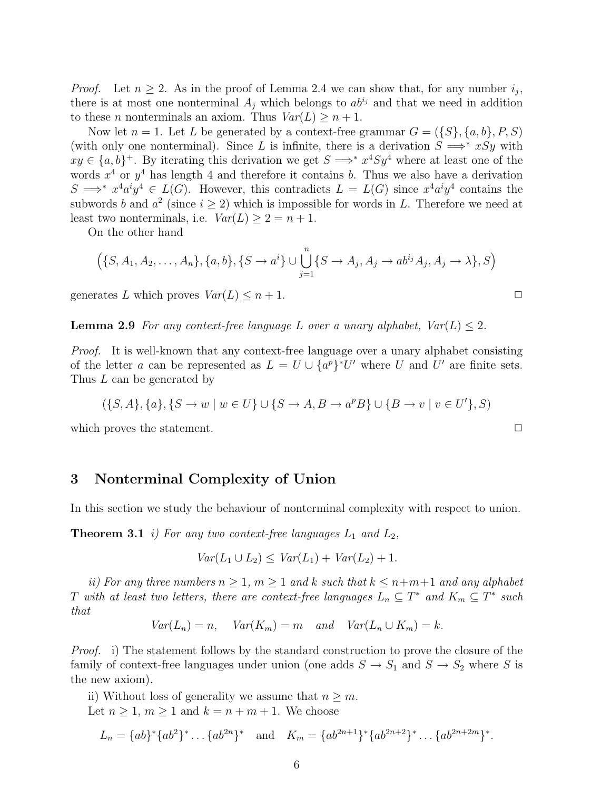*Proof.* Let  $n \geq 2$ . As in the proof of Lemma 2.4 we can show that, for any number  $i_j$ , there is at most one nonterminal  $A_i$  which belongs to  $ab^{i_j}$  and that we need in addition to these *n* nonterminals an axiom. Thus  $Var(L) \geq n+1$ .

Now let  $n = 1$ . Let L be generated by a context-free grammar  $G = (\{S\}, \{a, b\}, P, S)$ (with only one nonterminal). Since L is infinite, there is a derivation  $S \implies xSy$  with  $xy \in \{a, b\}^+$ . By iterating this derivation we get  $S \Longrightarrow^* x^4 S y^4$  where at least one of the words  $x^4$  or  $y^4$  has length 4 and therefore it contains b. Thus we also have a derivation  $S \implies^* x^4 a^i y^4 \in L(G)$ . However, this contradicts  $L = L(G)$  since  $x^4 a^i y^4$  contains the subwords b and  $a^2$  (since  $i \geq 2$ ) which is impossible for words in L. Therefore we need at least two nonterminals, i.e.  $Var(L) \geq 2 = n + 1$ .

On the other hand

$$
(\lbrace S, A_1, A_2, \ldots, A_n \rbrace, \lbrace a, b \rbrace, \lbrace S \to a^i \rbrace \cup \bigcup_{j=1}^n \lbrace S \to A_j, A_j \to ab^{i_j} A_j, A_j \to \lambda \rbrace, S)
$$

generates L which proves  $Var(L) \leq n+1$ .

**Lemma 2.9** For any context-free language L over a unary alphabet,  $Var(L) < 2$ .

Proof. It is well-known that any context-free language over a unary alphabet consisting of the letter a can be represented as  $L = U \cup \{a^p\}^* U'$  where U and U' are finite sets. Thus L can be generated by

 $({S, A}, \{a\}, \{S \rightarrow w \mid w \in U\} \cup {S \rightarrow A, B \rightarrow a^p B} \cup {B \rightarrow v \mid v \in U'}, S)$ 

which proves the statement.  $\Box$ 

#### 3 Nonterminal Complexity of Union

In this section we study the behaviour of nonterminal complexity with respect to union.

**Theorem 3.1** i) For any two context-free languages  $L_1$  and  $L_2$ ,

$$
Var(L_1 \cup L_2) \leq Var(L_1) + Var(L_2) + 1.
$$

ii) For any three numbers  $n \geq 1$ ,  $m \geq 1$  and k such that  $k \leq n+m+1$  and any alphabet T with at least two letters, there are context-free languages  $L_n \subseteq T^*$  and  $K_m \subseteq T^*$  such that

$$
Var(L_n) = n, \quad Var(K_m) = m \quad and \quad Var(L_n \cup K_m) = k.
$$

*Proof.* i) The statement follows by the standard construction to prove the closure of the family of context-free languages under union (one adds  $S \to S_1$  and  $S \to S_2$  where S is the new axiom).

ii) Without loss of generality we assume that  $n \geq m$ . Let  $n \geq 1$ ,  $m \geq 1$  and  $k = n + m + 1$ . We choose

$$
L_n = \{ab\}^*\{ab^2\}^*\dots\{ab^{2n}\}^*\quad\text{and}\quad K_m = \{ab^{2n+1}\}^*\{ab^{2n+2}\}^*\dots\{ab^{2n+2m}\}^*.
$$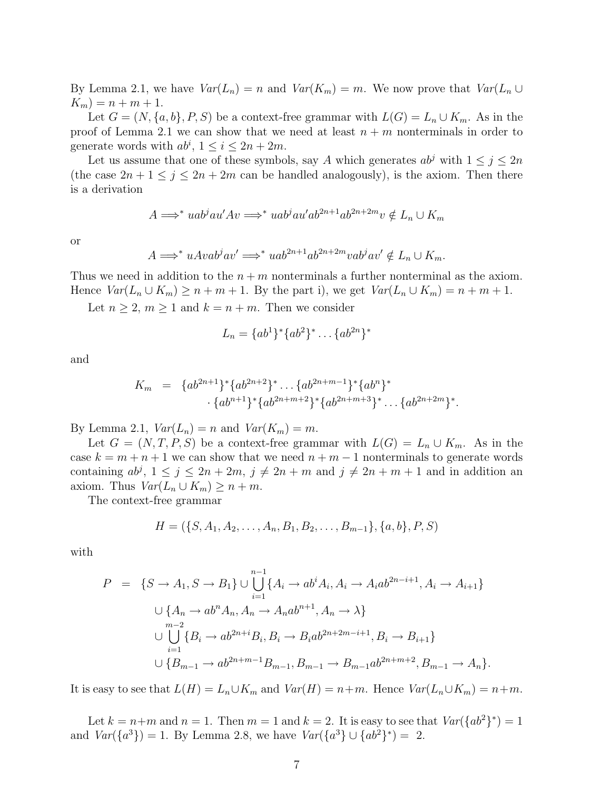By Lemma 2.1, we have  $Var(L_n) = n$  and  $Var(K_m) = m$ . We now prove that  $Var(L_n \cup$  $K_m$ ) =  $n + m + 1$ .

Let  $G = (N, \{a, b\}, P, S)$  be a context-free grammar with  $L(G) = L_n \cup K_m$ . As in the proof of Lemma 2.1 we can show that we need at least  $n + m$  nonterminals in order to generate words with  $ab^i$ ,  $1 \leq i \leq 2n + 2m$ .

Let us assume that one of these symbols, say A which generates  $ab^j$  with  $1 \leq j \leq 2n$ (the case  $2n + 1 \le j \le 2n + 2m$  can be handled analogously), is the axiom. Then there is a derivation

$$
A \Longrightarrow^* uab^jau'Av \Longrightarrow^* uab^jau'ab^{2n+1}ab^{2n+2m}v \notin L_n \cup K_m
$$

or

$$
A \Longrightarrow^* uAvab^jav' \Longrightarrow^* uab^{2n+1}ab^{2n+2m}vab^jav' \notin L_n \cup K_m.
$$

Thus we need in addition to the  $n + m$  nonterminals a further nonterminal as the axiom. Hence  $Var(L_n \cup K_m) \ge n + m + 1$ . By the part i), we get  $Var(L_n \cup K_m) = n + m + 1$ .

Let  $n \geq 2$ ,  $m \geq 1$  and  $k = n + m$ . Then we consider

$$
L_n = \{ab^1\}^* \{ab^2\}^* \dots \{ab^{2n}\}^*
$$

and

$$
K_m = \{ab^{2n+1}\}^* \{ab^{2n+2}\}^* \dots \{ab^{2n+m-1}\}^* \{ab^n\}^* \n\{ab^{n+1}\}^* \{ab^{2n+m+2}\}^* \{ab^{2n+m+3}\}^* \dots \{ab^{2n+2m}\}^*.
$$

By Lemma 2.1,  $Var(L_n) = n$  and  $Var(K_m) = m$ .

Let  $G = (N, T, P, S)$  be a context-free grammar with  $L(G) = L_n \cup K_m$ . As in the case  $k = m + n + 1$  we can show that we need  $n + m - 1$  nonterminals to generate words containing  $ab^j$ ,  $1 \le j \le 2n + 2m$ ,  $j \ne 2n + m$  and  $j \ne 2n + m + 1$  and in addition an axiom. Thus  $Var(L_n \cup K_m) \geq n + m$ .

The context-free grammar

$$
H = (\{S, A_1, A_2, \ldots, A_n, B_1, B_2, \ldots, B_{m-1}\}, \{a, b\}, P, S)
$$

with

$$
P = \{S \to A_1, S \to B_1\} \cup \bigcup_{i=1}^{n-1} \{A_i \to ab^i A_i, A_i \to A_i ab^{2n-i+1}, A_i \to A_{i+1}\}\
$$
  

$$
\cup \{A_n \to ab^n A_n, A_n \to A_n ab^{n+1}, A_n \to \lambda\}
$$
  

$$
\cup \bigcup_{i=1}^{m-2} \{B_i \to ab^{2n+i} B_i, B_i \to B_i ab^{2n+2m-i+1}, B_i \to B_{i+1}\}\
$$
  

$$
\cup \{B_{m-1} \to ab^{2n+m-1} B_{m-1}, B_{m-1} \to B_{m-1} ab^{2n+m+2}, B_{m-1} \to A_n\}.
$$

It is easy to see that  $L(H) = L_n \cup K_m$  and  $Var(H) = n+m$ . Hence  $Var(L_n \cup K_m) = n+m$ .

Let  $k = n+m$  and  $n = 1$ . Then  $m = 1$  and  $k = 2$ . It is easy to see that  $Var({ab<sup>2</sup>}<sup>*</sup>) = 1$ and  $Var({a^3}) = 1$ . By Lemma 2.8, we have  $Var({a^3} \cup {ab^2}^*) = 2$ .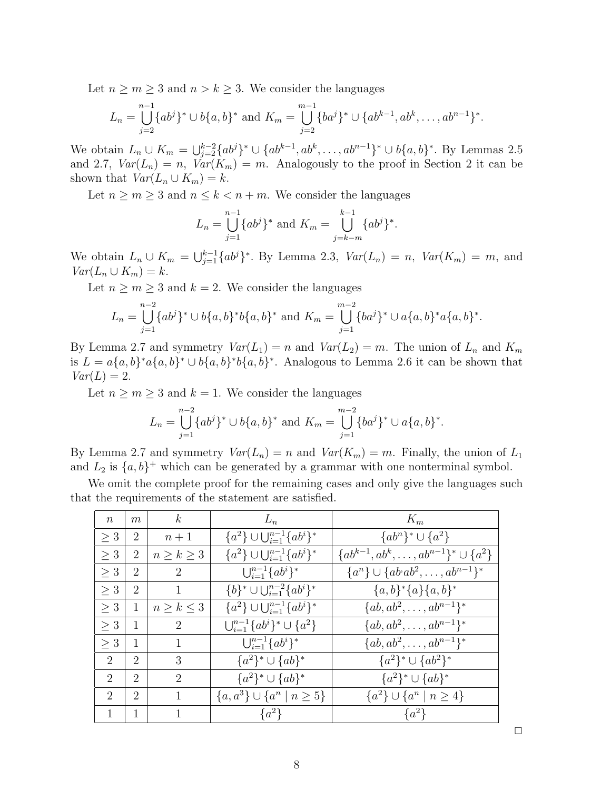Let  $n \geq m \geq 3$  and  $n > k \geq 3$ . We consider the languages

$$
L_n = \bigcup_{j=2}^{n-1} {\{ab^j\}}^* \cup b{\{a,b\}}^* \text{ and } K_m = \bigcup_{j=2}^{m-1} {\{ba^j\}}^* \cup \{ab^{k-1}, ab^k, \dots, ab^{n-1}\}^*.
$$

We obtain  $L_n \cup K_m = \bigcup_{j=2}^{k-2} \{ab^j\}^* \cup \{ab^{k-1}, ab^k, \ldots, ab^{n-1}\}^* \cup b\{a, b\}^*$ . By Lemmas 2.5 and 2.7,  $Var(L_n) = n$ ,  $Var(K_m) = m$ . Analogously to the proof in Section 2 it can be shown that  $Var(L_n \cup K_m) = k$ .

Let  $n \geq m \geq 3$  and  $n \leq k < n+m$ . We consider the languages

$$
L_n = \bigcup_{j=1}^{n-1} \{ab^j\}^* \text{ and } K_m = \bigcup_{j=k-m}^{k-1} \{ab^j\}^*.
$$

We obtain  $L_n \cup K_m = \bigcup_{j=1}^{k-1} \{ab^j\}^*$ . By Lemma 2.3,  $Var(L_n) = n$ ,  $Var(K_m) = m$ , and  $Var(L_n \cup K_m) = k.$ 

Let  $n \geq m \geq 3$  and  $k = 2$ . We consider the languages

$$
L_n = \bigcup_{j=1}^{n-2} \{ab^j\}^* \cup b\{a,b\}^* b\{a,b\}^* \text{ and } K_m = \bigcup_{j=1}^{m-2} \{ba^j\}^* \cup a\{a,b\}^* a\{a,b\}^*.
$$

By Lemma 2.7 and symmetry  $Var(L_1) = n$  and  $Var(L_2) = m$ . The union of  $L_n$  and  $K_m$ is  $L = a\{a,b\}^* a\{a,b\}^* \cup b\{a,b\}^* b\{a,b\}^*$ . Analogous to Lemma 2.6 it can be shown that  $Var(L) = 2.$ 

Let  $n \geq m \geq 3$  and  $k = 1$ . We consider the languages

$$
L_n = \bigcup_{j=1}^{n-2} \{ab^j\}^* \cup b\{a,b\}^* \text{ and } K_m = \bigcup_{j=1}^{m-2} \{ba^j\}^* \cup a\{a,b\}^*.
$$

By Lemma 2.7 and symmetry  $Var(L_n) = n$  and  $Var(K_m) = m$ . Finally, the union of  $L_1$ and  $L_2$  is  $\{a, b\}^+$  which can be generated by a grammar with one nonterminal symbol.

We omit the complete proof for the remaining cases and only give the languages such that the requirements of the statement are satisfied.

| $\,n$                       | $m\,$                       | $\kappa$          | $L_n$                                         | $K_m$                                             |
|-----------------------------|-----------------------------|-------------------|-----------------------------------------------|---------------------------------------------------|
| $\geq 3$                    | $\overline{2}$              | $n+1$             | ${a^2}\cup\bigcup_{i=1}^{n-1}{\{ab^i\}}^*$    | ${ab^n}^* \cup {a^2}$                             |
| $\geq 3$                    | $\overline{2}$              | n > k > 3         | ${a^2}\cup\bigcup_{i=1}^{n-1}{\{ab^i\}}^*$    | ${ab^{k-1}, ab^k, \ldots, ab^{n-1}}^* \cup {a^2}$ |
| $\geq 3$                    | $\overline{2}$              | 2                 | $\bigcup_{i=1}^{n-1} \{ab^i\}^*$              | ${a^n}\cup {ab \cdot ab^2, \ldots, ab^{n-1}}^*$   |
| $\geq 3$                    | 2                           | 1                 | ${b}^* \cup \bigcup_{i=1}^{n-2} {\{ab^i\}}^*$ | ${a,b}^*{a}{a,b}^*$                               |
| $\geq 3$                    | 1                           | $n \geq k \leq 3$ | ${a^2}\cup\bigcup_{i=1}^{n-1}{\{ab^i\}}^*$    | ${ab, ab^2, \ldots, ab^{n-1}}^*$                  |
| $\geq 3$                    | 1                           | $\overline{2}$    | $\bigcup_{i=1}^{n-1} \{ab^i\}^* \cup \{a^2\}$ | ${ab, ab^2, \ldots, ab^{n-1}}^*$                  |
| $\geq 3$                    | 1                           | 1                 | $\bigcup_{i=1}^{n-1} \{ab^i\}^*$              | ${ab, ab^2, \ldots, ab^{n-1}}^*$                  |
| $\mathcal{D}_{\mathcal{L}}$ | $\mathcal{D}_{\mathcal{L}}$ | 3                 | ${a^2}^* \cup {ab}^*$                         | ${a^2}^* \cup {ab^2}^*$                           |
| 2                           | 2                           | 2                 | ${a^2}^* \cup {ab}^*$                         | ${a^2}^* \cup {ab}^*$                             |
| $\mathcal{D}_{\mathcal{L}}$ | $\mathcal{D}_{\mathcal{L}}$ | 1                 | $\{a,a^3\} \cup \{a^n \mid n \geq 5\}$        | ${a^2}\cup {a^n \mid n \ge 4}$                    |
| $\mathbf{1}$                |                             | 1                 | $\{a^2\}$                                     | $\{a^2\}$                                         |

 $\Box$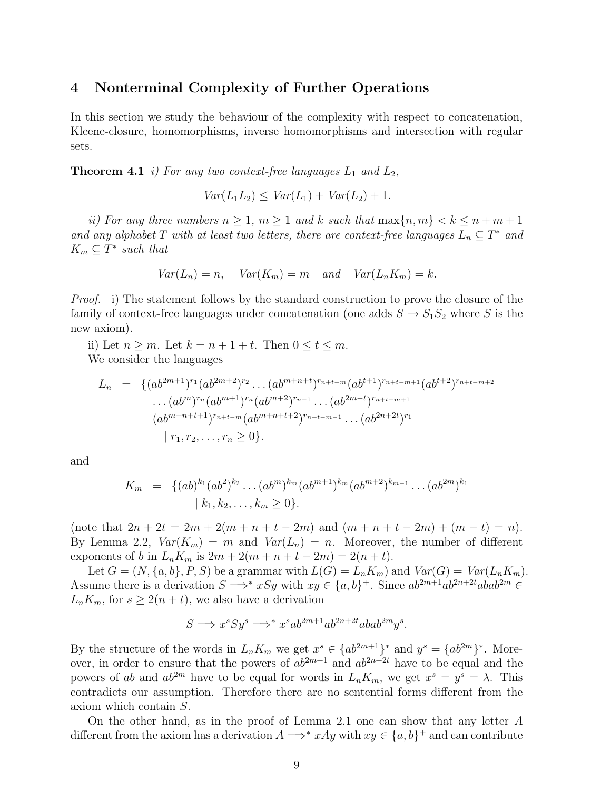### 4 Nonterminal Complexity of Further Operations

In this section we study the behaviour of the complexity with respect to concatenation, Kleene-closure, homomorphisms, inverse homomorphisms and intersection with regular sets.

**Theorem 4.1** i) For any two context-free languages  $L_1$  and  $L_2$ ,

$$
Var(L_1L_2) \leq Var(L_1) + Var(L_2) + 1.
$$

ii) For any three numbers  $n \geq 1$ ,  $m \geq 1$  and k such that  $\max\{n, m\} < k \leq n + m + 1$ and any alphabet T with at least two letters, there are context-free languages  $L_n \subseteq T^*$  and  $K_m \subseteq T^*$  such that

$$
Var(L_n) = n, \quad Var(K_m) = m \quad and \quad Var(L_n K_m) = k.
$$

Proof. i) The statement follows by the standard construction to prove the closure of the family of context-free languages under concatenation (one adds  $S \to S_1S_2$  where S is the new axiom).

ii) Let  $n \geq m$ . Let  $k = n + 1 + t$ . Then  $0 \leq t \leq m$ .

We consider the languages

$$
L_n = \{(ab^{2m+1})^{r_1}(ab^{2m+2})^{r_2}\dots (ab^{m+n+t})^{r_{n+t-m}}(ab^{t+1})^{r_{n+t-m+1}}(ab^{t+2})^{r_{n+t-m+2}}
$$
  
\n
$$
\dots (ab^m)^{r_n}(ab^{m+1})^{r_n}(ab^{m+2})^{r_{n-1}}\dots (ab^{2m-t})^{r_{n+t-m+1}}
$$
  
\n
$$
(ab^{m+n+t+1})^{r_{n+t-m}}(ab^{m+n+t+2})^{r_{n+t-m-1}}\dots (ab^{2n+2t})^{r_1}
$$
  
\n
$$
r_1, r_2, \dots, r_n \ge 0\}.
$$

and

$$
K_m = \{(ab)^{k_1}(ab^2)^{k_2}\dots(ab^m)^{k_m}(ab^{m+1})^{k_m}(ab^{m+2})^{k_{m-1}}\dots(ab^{2m})^{k_1} | k_1, k_2, \dots, k_m \ge 0 \}.
$$

(note that  $2n + 2t = 2m + 2(m + n + t - 2m)$  and  $(m + n + t - 2m) + (m - t) = n$ ). By Lemma 2.2,  $Var(K_m) = m$  and  $Var(L_n) = n$ . Moreover, the number of different exponents of b in  $L_n K_m$  is  $2m + 2(m + n + t - 2m) = 2(n + t)$ .

Let  $G = (N, \{a, b\}, P, S)$  be a grammar with  $L(G) = L_n K_m$  and  $Var(G) = Var(L_n K_m)$ . Assume there is a derivation  $S \implies^* xSy$  with  $xy \in \{a, b\}^+$ . Since  $ab^{2m+1}ab^{2n+2t}abab^{2m} \in$  $L_nK_m$ , for  $s \geq 2(n+t)$ , we also have a derivation

$$
S \Longrightarrow x^s S y^s \Longrightarrow^* x^s a b^{2m+1} a b^{2n+2t} a b a b^{2m} y^s.
$$

By the structure of the words in  $L_n K_m$  we get  $x^s \in \{ab^{2m+1}\}^*$  and  $y^s = \{ab^{2m}\}^*$ . Moreover, in order to ensure that the powers of  $ab^{2m+1}$  and  $ab^{2n+2t}$  have to be equal and the powers of ab and  $ab^{2m}$  have to be equal for words in  $L_nK_m$ , we get  $x^s = y^s = \lambda$ . This contradicts our assumption. Therefore there are no sentential forms different from the axiom which contain S.

On the other hand, as in the proof of Lemma 2.1 one can show that any letter A different from the axiom has a derivation  $A \Longrightarrow^* xAy$  with  $xy \in \{a, b\}^+$  and can contribute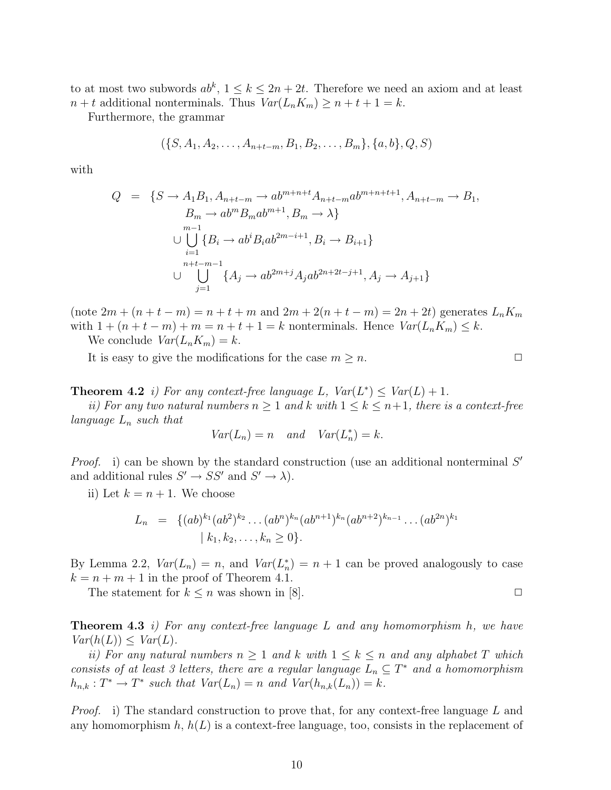to at most two subwords  $ab^k$ ,  $1 \leq k \leq 2n + 2t$ . Therefore we need an axiom and at least  $n + t$  additional nonterminals. Thus  $Var(L_n K_m) \geq n + t + 1 = k$ .

Furthermore, the grammar

$$
(\{S, A_1, A_2, \ldots, A_{n+t-m}, B_1, B_2, \ldots, B_m\}, \{a, b\}, Q, S)
$$

with

$$
Q = \{S \to A_1B_1, A_{n+t-m} \to ab^{m+n+t}A_{n+t-m}ab^{m+n+t+1}, A_{n+t-m} \to B_1, B_m \to ab^m B_m ab^{m+1}, B_m \to \lambda\}
$$
  

$$
\cup \bigcup_{i=1}^{m-1} \{B_i \to ab^i B_i ab^{2m-i+1}, B_i \to B_{i+1}\}
$$
  

$$
\cup \bigcup_{j=1}^{n+t-m-1} \{A_j \to ab^{2m+j} A_j ab^{2n+2t-j+1}, A_j \to A_{j+1}\}
$$

(note  $2m + (n + t - m) = n + t + m$  and  $2m + 2(n + t - m) = 2n + 2t$ ) generates  $L_n K_m$ with  $1 + (n + t - m) + m = n + t + 1 = k$  nonterminals. Hence  $Var(L_n K_m) \leq k$ .

We conclude 
$$
Var(L_n K_m) = k
$$
.

It is easy to give the modifications for the case  $m \geq n$ .

**Theorem 4.2** i) For any context-free language L,  $Var(L^*) \leq Var(L) + 1$ .

ii) For any two natural numbers  $n \geq 1$  and k with  $1 \leq k \leq n+1$ , there is a context-free language  $L_n$  such that

$$
Var(L_n) = n \quad and \quad Var(L_n^*) = k.
$$

*Proof.* i) can be shown by the standard construction (use an additional nonterminal  $S'$ and additional rules  $S' \to SS'$  and  $S' \to \lambda$ ).

ii) Let  $k = n + 1$ . We choose

$$
L_n = \{(ab)^{k_1}(ab^2)^{k_2}\dots(ab^n)^{k_n}(ab^{n+1})^{k_n}(ab^{n+2})^{k_{n-1}}\dots(ab^{2n})^{k_1}
$$
  
  $| k_1, k_2, \dots, k_n \ge 0 \}.$ 

By Lemma 2.2,  $Var(L_n) = n$ , and  $Var(L_n^*) = n + 1$  can be proved analogously to case  $k = n + m + 1$  in the proof of Theorem 4.1.

The statement for  $k \leq n$  was shown in [8].  $\Box$ 

**Theorem 4.3** i) For any context-free language L and any homomorphism h, we have  $Var(h(L)) \leq Var(L)$ .

ii) For any natural numbers  $n \geq 1$  and k with  $1 \leq k \leq n$  and any alphabet T which consists of at least 3 letters, there are a regular language  $L_n \subseteq T^*$  and a homomorphism  $h_{n,k}: T^* \to T^*$  such that  $Var(L_n) = n$  and  $Var(h_{n,k}(L_n)) = k$ .

*Proof.* i) The standard construction to prove that, for any context-free language  $L$  and any homomorphism  $h, h(L)$  is a context-free language, too, consists in the replacement of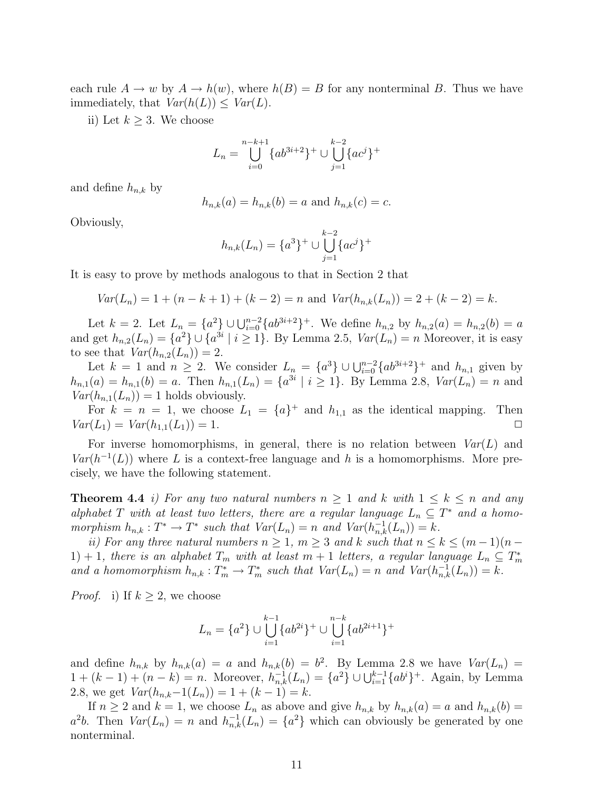each rule  $A \to w$  by  $A \to h(w)$ , where  $h(B) = B$  for any nonterminal B. Thus we have immediately, that  $Var(h(L)) \leq Var(L)$ .

ii) Let  $k \geq 3$ . We choose

$$
L_n = \bigcup_{i=0}^{n-k+1} \{ab^{3i+2}\}^+ \cup \bigcup_{j=1}^{k-2} \{ac^j\}^+
$$

and define  $h_{n,k}$  by

$$
h_{n,k}(a) = h_{n,k}(b) = a
$$
 and  $h_{n,k}(c) = c$ .

Obviously,

$$
h_{n,k}(L_n) = \{a^3\}^+ \cup \bigcup_{j=1}^{k-2} \{ac^j\}^+
$$

It is easy to prove by methods analogous to that in Section 2 that

$$
Var(L_n) = 1 + (n - k + 1) + (k - 2) = n
$$
 and 
$$
Var(h_{n,k}(L_n)) = 2 + (k - 2) = k.
$$

Let  $k = 2$ . Let  $L_n = \{a^2\} \cup \bigcup_{i=0}^{n-2} \{ab^{3i+2}\}^+$ . We define  $h_{n,2}$  by  $h_{n,2}(a) = h_{n,2}(b) = a$ and get  $h_{n,2}(L_n) = \{a^2\} \cup \{a^{3i} \mid i \geq 1\}$ . By Lemma 2.5,  $Var(L_n) = n$  Moreover, it is easy to see that  $Var(h_{n,2}(L_n)) = 2$ .

Let  $k = 1$  and  $n \ge 2$ . We consider  $L_n = \{a^3\} \cup \bigcup_{i=0}^{n-2} \{ab^{3i+2}\}^+$  and  $h_{n,1}$  given by  $h_{n,1}(a) = h_{n,1}(b) = a$ . Then  $h_{n,1}(L_n) = \{a^{3i} \mid i \ge 1\}$ . By Lemma 2.8,  $Var(L_n) = n$  and  $Var(h_{n,1}(L_n)) = 1$  holds obviously.

For  $k = n = 1$ , we choose  $L_1 = \{a\}^+$  and  $h_{1,1}$  as the identical mapping. Then  $Var(L_1) = Var(h_{1,1}(L_1)) = 1.$ 

For inverse homomorphisms, in general, there is no relation between  $Var(L)$  and  $Var(h^{-1}(L))$  where L is a context-free language and h is a homomorphisms. More precisely, we have the following statement.

**Theorem 4.4** i) For any two natural numbers  $n \geq 1$  and k with  $1 \leq k \leq n$  and any alphabet T with at least two letters, there are a regular language  $L_n \subseteq T^*$  and a homomorphism  $h_{n,k}: T^* \to T^*$  such that  $Var(L_n) = n$  and  $Var(h_{n,k}^{-1}(L_n)) = k$ .

ii) For any three natural numbers  $n \geq 1$ ,  $m \geq 3$  and k such that  $n \leq k \leq (m-1)(n-1)$ 1) + 1, there is an alphabet  $T_m$  with at least  $m + 1$  letters, a regular language  $L_n \subseteq T_m^*$ and a homomorphism  $h_{n,k}: T^*_m \to T^*_m$  such that  $Var(L_n) = n$  and  $Var(h_{n,k}^{-1}(L_n)) = k$ .

*Proof.* i) If  $k \geq 2$ , we choose

$$
L_n = \{a^2\} \cup \bigcup_{i=1}^{k-1} \{ab^{2i}\}^+ \cup \bigcup_{i=1}^{n-k} \{ab^{2i+1}\}^+
$$

and define  $h_{n,k}$  by  $h_{n,k}(a) = a$  and  $h_{n,k}(b) = b^2$ . By Lemma 2.8 we have  $Var(L_n) =$  $1 + (k-1) + (n-k) = n$ . Moreover,  $h_{n,k}^{-1}(L_n) = \{a^2\} \cup \bigcup_{i=1}^{k-1} \{ab^i\}^+$ . Again, by Lemma 2.8, we get  $Var(h_{n,k}-1(L_n)) = 1 + (k-1) = k$ .

If  $n \ge 2$  and  $k = 1$ , we choose  $L_n$  as above and give  $h_{n,k}$  by  $h_{n,k}(a) = a$  and  $h_{n,k}(b) = a$  $a^2b$ . Then  $Var(L_n) = n$  and  $h_{n,k}^{-1}(L_n) = \{a^2\}$  which can obviously be generated by one nonterminal.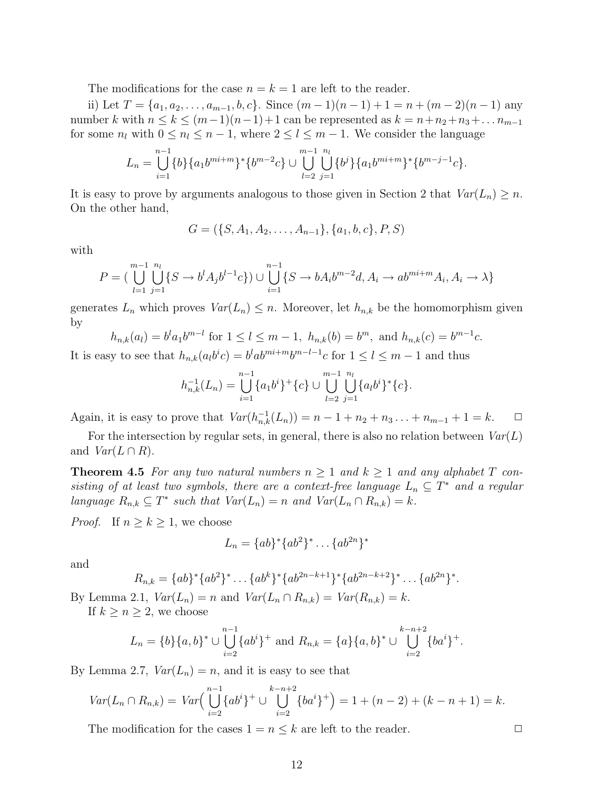The modifications for the case  $n = k = 1$  are left to the reader.

ii) Let  $T = \{a_1, a_2, \ldots, a_{m-1}, b, c\}$ . Since  $(m-1)(n-1) + 1 = n + (m-2)(n-1)$  any number k with  $n \leq k \leq (m-1)(n-1)+1$  can be represented as  $k = n+n_2+n_3+\ldots+n_{m-1}$ for some  $n_l$  with  $0 \leq n_l \leq n-1$ , where  $2 \leq l \leq m-1$ . We consider the language

$$
L_n = \bigcup_{i=1}^{n-1} \{b\} \{a_1 b^{mi+m}\}^* \{b^{m-2} c\} \cup \bigcup_{l=2}^{m-1} \bigcup_{j=1}^{n_l} \{b^j\} \{a_1 b^{mi+m}\}^* \{b^{m-j-1} c\}.
$$

It is easy to prove by arguments analogous to those given in Section 2 that  $Var(L_n) \geq n$ . On the other hand,

$$
G = (\{S, A_1, A_2, \dots, A_{n-1}\}, \{a_1, b, c\}, P, S)
$$

with

$$
P = (\bigcup_{l=1}^{m-1} \bigcup_{j=1}^{n_l} \{ S \to b^l A_j b^{l-1} c \} ) \cup \bigcup_{i=1}^{n-1} \{ S \to b A_i b^{m-2} d, A_i \to ab^{m i+m} A_i, A_i \to \lambda \}
$$

generates  $L_n$  which proves  $Var(L_n) \leq n$ . Moreover, let  $h_{n,k}$  be the homomorphism given by

$$
h_{n,k}(a_l) = b^l a_1 b^{m-l}
$$
 for  $1 \le l \le m-1$ ,  $h_{n,k}(b) = b^m$ , and  $h_{n,k}(c) = b^{m-1}c$ .

It is easy to see that  $h_{n,k}(a_l b^i c) = b^l a b^{m i+m} b^{m-l-1} c$  for  $1 \leq l \leq m-1$  and thus

$$
h_{n,k}^{-1}(L_n) = \bigcup_{i=1}^{n-1} \{a_1 b^i\}^+ \{c\} \cup \bigcup_{l=2}^{m-1} \bigcup_{j=1}^{n_l} \{a_l b^i\}^* \{c\}.
$$

Again, it is easy to prove that  $Var(h_{n,k}^{-1}(L_n)) = n - 1 + n_2 + n_3 \dots + n_{m-1} + 1 = k.$   $\Box$ 

For the intersection by regular sets, in general, there is also no relation between  $Var(L)$ and  $Var(L \cap R)$ .

**Theorem 4.5** For any two natural numbers  $n \geq 1$  and  $k \geq 1$  and any alphabet T consisting of at least two symbols, there are a context-free language  $L_n \subseteq T^*$  and a regular language  $R_{n,k} \subseteq T^*$  such that  $Var(L_n) = n$  and  $Var(L_n \cap R_{n,k}) = k$ .

*Proof.* If  $n \geq k \geq 1$ , we choose

$$
L_n = \{ab\}^* \{ab^2\}^* \dots \{ab^{2n}\}^*
$$

and

$$
R_{n,k} = \{ab\}^*\{ab^2\}^*\dots\{ab^k\}^*\{ab^{2n-k+1}\}^*\{ab^{2n-k+2}\}^*\dots\{ab^{2n}\}^*.
$$

By Lemma 2.1,  $Var(L_n) = n$  and  $Var(L_n \cap R_{n,k}) = Var(R_{n,k}) = k$ . If  $k \geq n \geq 2$ , we choose

$$
n \leq n \leq 2
$$
, we choose  $n-1$ 

$$
L_n = \{b\}\{a,b\}^* \cup \bigcup_{i=2}^{n-1} \{ab^i\}^+ \text{ and } R_{n,k} = \{a\}\{a,b\}^* \cup \bigcup_{i=2}^{k-n+2} \{ba^i\}^+.
$$

By Lemma 2.7,  $Var(L_n) = n$ , and it is easy to see that

$$
Var(L_n \cap R_{n,k}) = Var\Big(\bigcup_{i=2}^{n-1} \{ab^i\}^+ \cup \bigcup_{i=2}^{k-n+2} \{ba^i\}^+\Big) = 1 + (n-2) + (k-n+1) = k.
$$

The modification for the cases  $1 = n \leq k$  are left to the reader.  $\Box$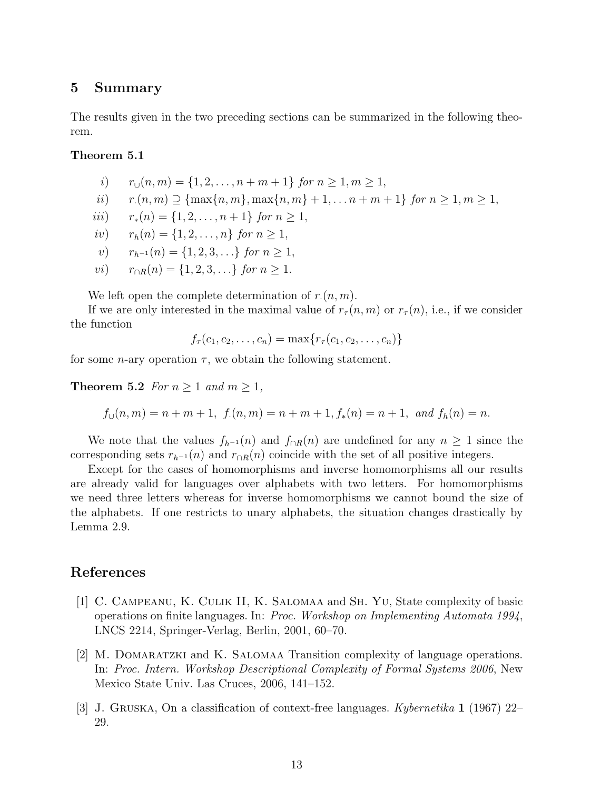# 5 Summary

The results given in the two preceding sections can be summarized in the following theorem.

#### Theorem 5.1

i) 
$$
r_{\cup}(n,m) = \{1,2,\ldots,n+m+1\}
$$
 for  $n \ge 1, m \ge 1$ ,

- ii)  $r.(n, m) \supseteq {\max\{n, m\}, \max\{n, m\} + 1, \ldots n + m + 1\}$  for  $n \geq 1, m \geq 1$ ,
- iii)  $r_*(n) = \{1, 2, \ldots, n+1\}$  for  $n \geq 1$ ,
- iv)  $r_h(n) = \{1, 2, ..., n\}$  for  $n \geq 1$ ,
- v)  $r_{h^{-1}}(n) = \{1, 2, 3, \ldots\}$  for  $n \geq 1$ ,
- vi)  $r_{\cap R}(n) = \{1, 2, 3, \ldots\}$  for  $n > 1$ .

We left open the complete determination of  $r(n, m)$ .

If we are only interested in the maximal value of  $r_{\tau}(n,m)$  or  $r_{\tau}(n)$ , i.e., if we consider the function

$$
f_{\tau}(c_1, c_2, \ldots, c_n) = \max\{r_{\tau}(c_1, c_2, \ldots, c_n)\}\
$$

for some *n*-ary operation  $\tau$ , we obtain the following statement.

**Theorem 5.2** For  $n \geq 1$  and  $m \geq 1$ ,

 $f_{\square}(n,m) = n + m + 1, f_{\square}(n,m) = n + m + 1, f_*(n) = n + 1, and f_h(n) = n.$ 

We note that the values  $f_{h^{-1}}(n)$  and  $f_{\cap R}(n)$  are undefined for any  $n \geq 1$  since the corresponding sets  $r_{h^{-1}}(n)$  and  $r_{\cap R}(n)$  coincide with the set of all positive integers.

Except for the cases of homomorphisms and inverse homomorphisms all our results are already valid for languages over alphabets with two letters. For homomorphisms we need three letters whereas for inverse homomorphisms we cannot bound the size of the alphabets. If one restricts to unary alphabets, the situation changes drastically by Lemma 2.9.

# References

- [1] C. Campeanu, K. Culik II, K. Salomaa and Sh. Yu, State complexity of basic operations on finite languages. In: Proc. Workshop on Implementing Automata 1994, LNCS 2214, Springer-Verlag, Berlin, 2001, 60–70.
- [2] M. Domaratzki and K. Salomaa Transition complexity of language operations. In: Proc. Intern. Workshop Descriptional Complexity of Formal Systems 2006, New Mexico State Univ. Las Cruces, 2006, 141–152.
- [3] J. Gruska, On a classification of context-free languages. Kybernetika 1 (1967) 22– 29.